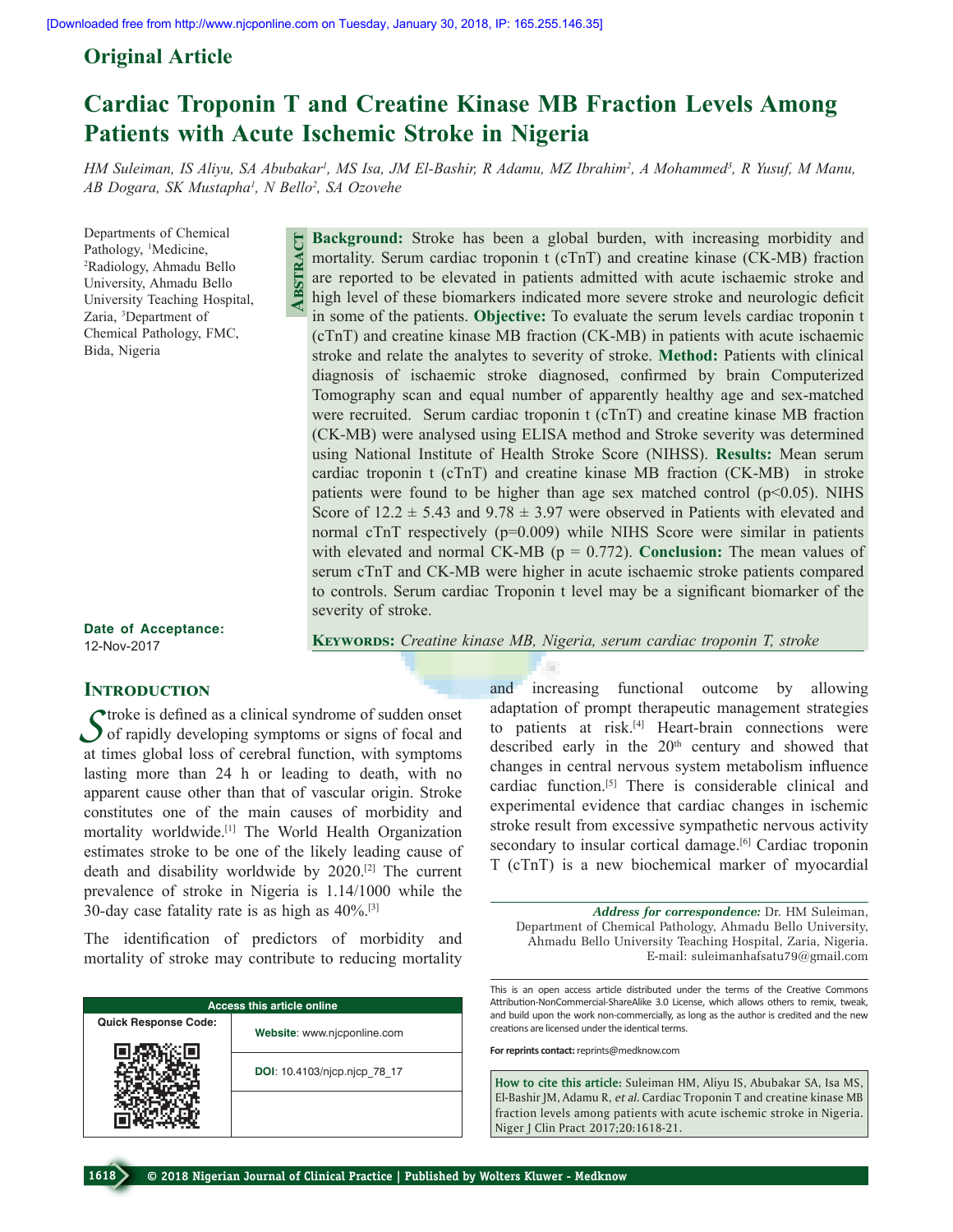# **Original Article**

# **Cardiac Troponin T and Creatine Kinase MB Fraction Levels Among Patients with Acute Ischemic Stroke in Nigeria**

*HM Suleiman, IS Aliyu, SA Abubakar<sup>1</sup>, MS Isa, JM El-Bashir, R Adamu, MZ Ibrahim<sup>2</sup>, A Mohammed<sup>3</sup>, R Yusuf, M Manu, AB Dogara, SK Mustapha1 , N Bello2 , SA Ozovehe*

Departments of Chemical Pathology, <sup>1</sup>Medicine,<br><sup>2</sup>Radiology, Ahmadu E Radiology, Ahmadu Bello University, Ahmadu Bello University Teaching Hospital, Zaria, 3 Department of Chemical Pathology, FMC, Bida, Nigeria

**Background:** Stroke has been a global burden, with increasing morbidity and mortality. Serum cardiac troponin t (cTnT) and creatine kinase (CK-MB) fraction are reported to be elevated in patients admitted with acute ischaemic stroke and high level of these biomarkers indicated more severe stroke and neurologic deficit in some of the patients. **Objective:** To evaluate the serum levels cardiac troponin t (cTnT) and creatine kinase MB fraction (CK-MB) in patients with acute ischaemic stroke and relate the analytes to severity of stroke. **Method:** Patients with clinical diagnosis of ischaemic stroke diagnosed, confirmed by brain Computerized Tomography scan and equal number of apparently healthy age and sex-matched were recruited. Serum cardiac troponin t (cTnT) and creatine kinase MB fraction (CK-MB) were analysed using ELISA method and Stroke severity was determined using National Institute of Health Stroke Score (NIHSS). **Results:** Mean serum cardiac troponin t (cTnT) and creatine kinase MB fraction (CK-MB) in stroke patients were found to be higher than age sex matched control  $(p<0.05)$ . NIHS Score of  $12.2 \pm 5.43$  and  $9.78 \pm 3.97$  were observed in Patients with elevated and normal cTnT respectively (p=0.009) while NIHS Score were similar in patients with elevated and normal CK-MB (p = 0.772). **Conclusion:** The mean values of serum cTnT and CK-MB were higher in acute ischaemic stroke patients compared to controls. Serum cardiac Troponin t level may be a significant biomarker of the severity of stroke.

**Date of Acceptance:** 12-Nov-2017

# **INTRODUCTION**

**C**troke is defined as a clinical syndrome of sudden onset of rapidly developing symptoms or signs of focal and at times global loss of cerebral function, with symptoms lasting more than 24 h or leading to death, with no apparent cause other than that of vascular origin. Stroke constitutes one of the main causes of morbidity and mortality worldwide.[1] The World Health Organization estimates stroke to be one of the likely leading cause of death and disability worldwide by 2020.[2] The current prevalence of stroke in Nigeria is 1.14/1000 while the 30-day case fatality rate is as high as  $40\%$ .<sup>[3]</sup> **PMIDRE THE CONSUMER ABSTRACT ABSTRACT**<br>
A B a man are also and a man in (c) studies a man of consumers of the like world be world by a see the World by Nigeria is a high as **ADD**: 10.4103/r

The identification of predictors of morbidity and mortality of stroke may contribute to reducing mortality

| <b>Access this article online</b> |                              |  |  |  |
|-----------------------------------|------------------------------|--|--|--|
| <b>Quick Response Code:</b>       | Website: www.njcponline.com  |  |  |  |
|                                   | DOI: 10.4103/njcp.njcp 78 17 |  |  |  |
|                                   |                              |  |  |  |

**Keywords:** *Creatine kinase MB, Nigeria, serum cardiac troponin T, stroke*

and increasing functional outcome by allowing adaptation of prompt therapeutic management strategies to patients at risk.<sup>[4]</sup> Heart-brain connections were described early in the  $20<sup>th</sup>$  century and showed that changes in central nervous system metabolism influence cardiac function.[5] There is considerable clinical and experimental evidence that cardiac changes in ischemic stroke result from excessive sympathetic nervous activity secondary to insular cortical damage.<sup>[6]</sup> Cardiac troponin T (cTnT) is a new biochemical marker of myocardial

*Address for correspondence:* Dr. HM Suleiman, Department of Chemical Pathology, Ahmadu Bello University, Ahmadu Bello University Teaching Hospital, Zaria, Nigeria. E‑mail: suleimanhafsatu79@gmail.com

This is an open access article distributed under the terms of the Creative Commons Attribution-NonCommercial-ShareAlike 3.0 License, which allows others to remix, tweak, and build upon the work non-commercially, as long as the author is credited and the new creations are licensed under the identical terms.

**For reprints contact:** reprints@medknow.com

**How to cite this article:** Suleiman HM, Aliyu IS, Abubakar SA, Isa MS, El-Bashir JM, Adamu R, *et al*. Cardiac Troponin T and creatine kinase MB fraction levels among patients with acute ischemic stroke in Nigeria. Niger J Clin Pract 2017;20:1618-21.

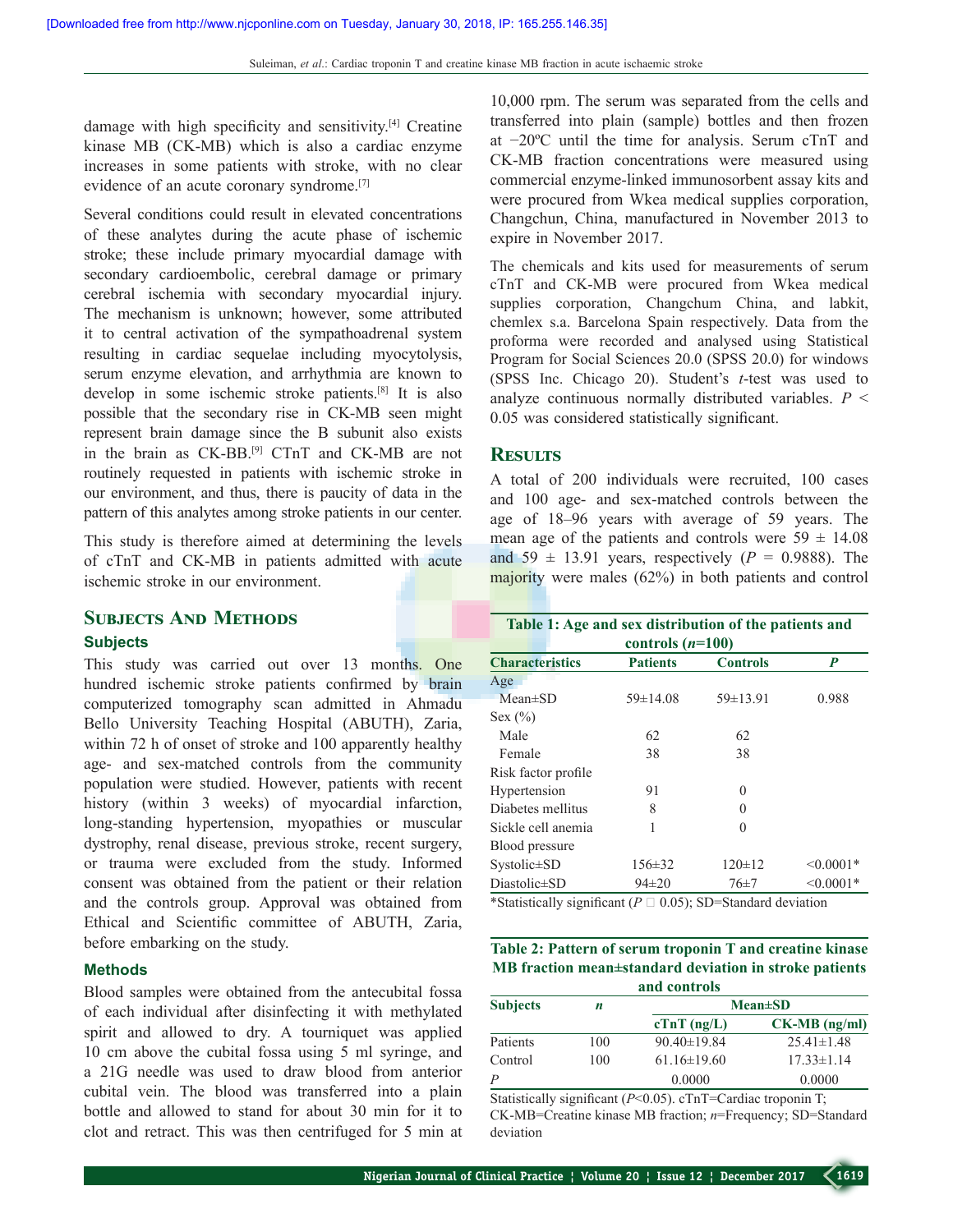damage with high specificity and sensitivity.[4] Creatine kinase MB (CK-MB) which is also a cardiac enzyme increases in some patients with stroke, with no clear evidence of an acute coronary syndrome.<sup>[7]</sup>

Several conditions could result in elevated concentrations of these analytes during the acute phase of ischemic stroke; these include primary myocardial damage with secondary cardioembolic, cerebral damage or primary cerebral ischemia with secondary myocardial injury. The mechanism is unknown; however, some attributed it to central activation of the sympathoadrenal system resulting in cardiac sequelae including myocytolysis, serum enzyme elevation, and arrhythmia are known to develop in some ischemic stroke patients.[8] It is also possible that the secondary rise in CK‑MB seen might represent brain damage since the B subunit also exists in the brain as CK-BB.<sup>[9]</sup> CTnT and CK-MB are not routinely requested in patients with ischemic stroke in our environment, and thus, there is paucity of data in the pattern of this analytes among stroke patients in our center.

This study is therefore aimed at determining the levels of cTnT and CK‑MB in patients admitted with acute ischemic stroke in our environment.

# **Subjects And Methods**

### **Subjects**

This study was carried out over 13 months. One hundred ischemic stroke patients confirmed by brain computerized tomography scan admitted in Ahmadu Bello University Teaching Hospital (ABUTH), Zaria, within 72 h of onset of stroke and 100 apparently healthy age- and sex-matched controls from the community population were studied. However, patients with recent history (within 3 weeks) of myocardial infarction, long‑standing hypertension, myopathies or muscular dystrophy, renal disease, previous stroke, recent surgery, or trauma were excluded from the study. Informed consent was obtained from the patient or their relation and the controls group. Approval was obtained from Ethical and Scientific committee of ABUTH, Zaria, before embarking on the study.

#### **Methods**

Blood samples were obtained from the antecubital fossa of each individual after disinfecting it with methylated spirit and allowed to dry. A tourniquet was applied 10 cm above the cubital fossa using 5 ml syringe, and a 21G needle was used to draw blood from anterior cubital vein. The blood was transferred into a plain bottle and allowed to stand for about 30 min for it to clot and retract. This was then centrifuged for 5 min at

10,000 rpm. The serum was separated from the cells and transferred into plain (sample) bottles and then frozen at −20ºC until the time for analysis. Serum cTnT and CK‑MB fraction concentrations were measured using commercial enzyme‑linked immunosorbent assay kits and were procured from Wkea medical supplies corporation, Changchun, China, manufactured in November 2013 to expire in November 2017.

The chemicals and kits used for measurements of serum cTnT and CK-MB were procured from Wkea medical supplies corporation, Changchum China, and labkit, chemlex s.a. Barcelona Spain respectively. Data from the proforma were recorded and analysed using Statistical Program for Social Sciences 20.0 (SPSS 20.0) for windows (SPSS Inc. Chicago 20). Student's *t*‑test was used to analyze continuous normally distributed variables. *P* < 0.05 was considered statistically significant.

## **Results**

A total of 200 individuals were recruited, 100 cases and 100 age‑ and sex‑matched controls between the age of 18–96 years with average of 59 years. The mean age of the patients and controls were  $59 \pm 14.08$ and  $59 \pm 13.91$  years, respectively ( $P = 0.9888$ ). The majority were males (62%) in both patients and control

| Table 1: Age and sex distribution of the patients and<br>controls $(n=100)$ |                |                |                |  |  |  |
|-----------------------------------------------------------------------------|----------------|----------------|----------------|--|--|--|
|                                                                             |                |                |                |  |  |  |
| Age                                                                         |                |                |                |  |  |  |
| $Mean \pm SD$                                                               | $59 \pm 14.08$ | $59 \pm 13.91$ | 0.988          |  |  |  |
| Sex $(\% )$                                                                 |                |                |                |  |  |  |
| Male                                                                        | 62             | 62             |                |  |  |  |
| Female                                                                      | 38             | 38             |                |  |  |  |
| Risk factor profile                                                         |                |                |                |  |  |  |
| Hypertension                                                                | 91             | 0              |                |  |  |  |
| Diabetes mellitus                                                           | 8              | 0              |                |  |  |  |
| Sickle cell anemia                                                          |                | 0              |                |  |  |  |
| <b>Blood</b> pressure                                                       |                |                |                |  |  |  |
| Systolic±SD                                                                 | $156 \pm 32$   | $120 \pm 12$   | $\leq 0.0001*$ |  |  |  |
| Diastolic±SD                                                                | $94\pm20$      | 76±7           | $< 0.0001*$    |  |  |  |

\*Statistically significant ( $P \sqcup 0.05$ ); SD=Standard deviation

**Table 2: Pattern of serum troponin T and creatine kinase MB fraction mean±standard deviation in stroke patients and controls**

| Subjects | п   | $Mean \pm SD$     |                  |  |
|----------|-----|-------------------|------------------|--|
|          |     | $cTnT$ ( $ng/L$ ) | $CK-MB$ (ng/ml)  |  |
| Patients | 100 | $90.40 \pm 19.84$ | $25.41 \pm 1.48$ |  |
| Control  | 100 | $61.16\pm19.60$   | $17.33 \pm 1.14$ |  |
| Р        |     | 0.0000            | 0.0000           |  |

Statistically significant (*P*<0.05). cTnT=Cardiac troponin T; CK‑MB=Creatine kinase MB fraction; *n*=Frequency; SD=Standard deviation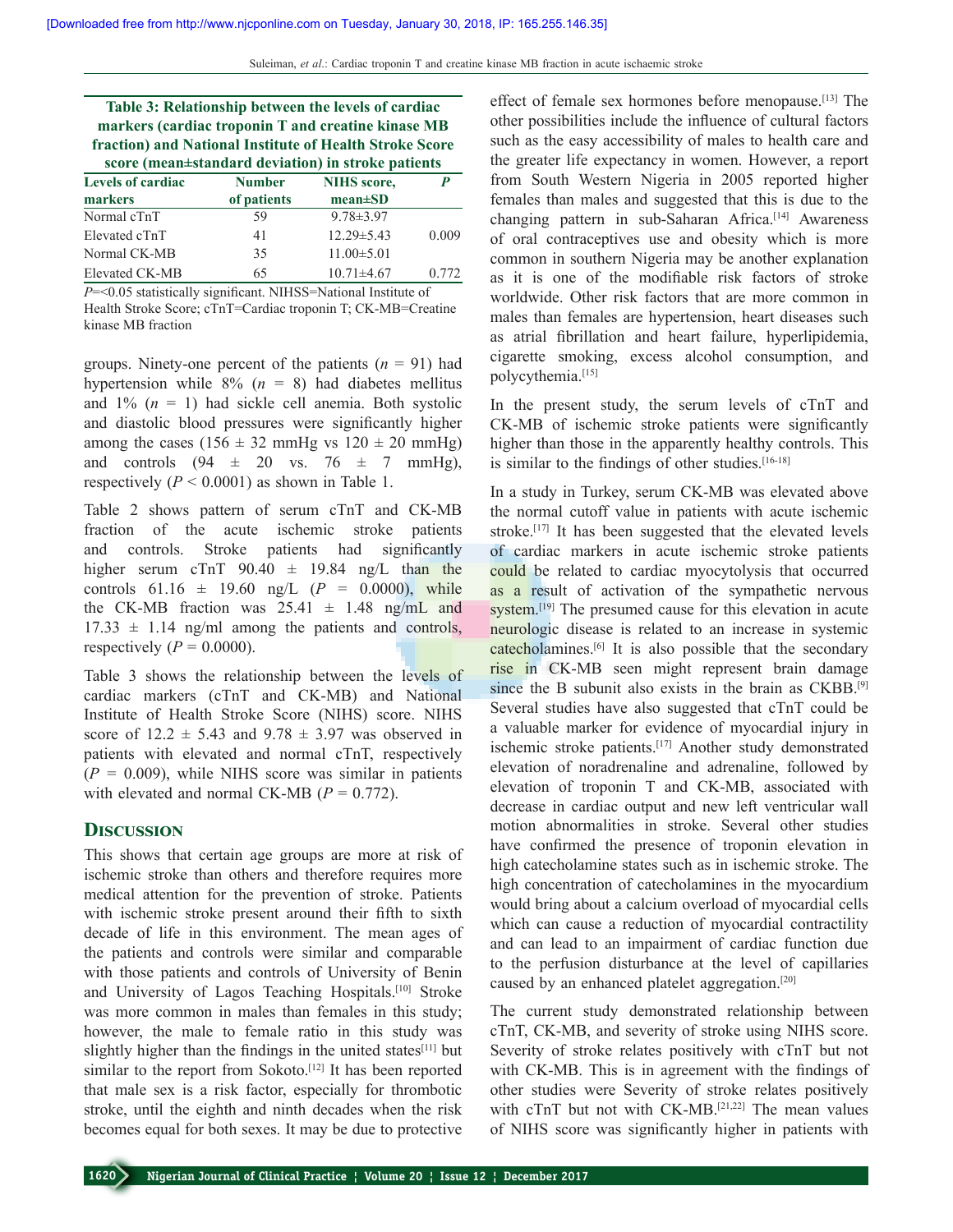| Table 3: Relationship between the levels of cardiac<br>markers (cardiac troponin T and creatine kinase MB<br>fraction) and National Institute of Health Stroke Score<br>score (mean±standard deviation) in stroke patients |               |                    |       |  |  |  |  |
|----------------------------------------------------------------------------------------------------------------------------------------------------------------------------------------------------------------------------|---------------|--------------------|-------|--|--|--|--|
| <b>Levels of cardiac</b>                                                                                                                                                                                                   | <b>Number</b> | <b>NIHS</b> score. | P     |  |  |  |  |
| markers                                                                                                                                                                                                                    | of patients   | $mean \pm SD$      |       |  |  |  |  |
| Normal cTnT                                                                                                                                                                                                                | 59            | $9.78 \pm 3.97$    |       |  |  |  |  |
| Elevated cTnT                                                                                                                                                                                                              | 41            | $12.29 \pm 5.43$   | 0.009 |  |  |  |  |
| Normal CK-MB                                                                                                                                                                                                               | 35            | $11.00 \pm 5.01$   |       |  |  |  |  |

Elevated CK–MB 65 10.71±4.67 0.772 *P*=<0.05 statistically significant. NIHSS=National Institute of

Health Stroke Score; cTnT=Cardiac troponin T; CK-MB=Creatine kinase MB fraction

groups. Ninety-one percent of the patients  $(n = 91)$  had hypertension while  $8\%$  ( $n = 8$ ) had diabetes mellitus and  $1\%$   $(n = 1)$  had sickle cell anemia. Both systolic and diastolic blood pressures were significantly higher among the cases  $(156 \pm 32 \text{ mmHg vs } 120 \pm 20 \text{ mmHg})$ and controls  $(94 \pm 20 \text{ vs. } 76 \pm 7 \text{ mmHg})$ , respectively  $(P < 0.0001)$  as shown in Table 1.

Table 2 shows pattern of serum cTnT and CK-MB fraction of the acute ischemic stroke patients and controls. Stroke patients had significantly higher serum cTnT  $90.40 \pm 19.84$  ng/L than the controls  $61.16 \pm 19.60$  ng/L ( $P = 0.0000$ ), while the CK-MB fraction was  $25.41 \pm 1.48$  ng/mL and  $17.33 \pm 1.14$  ng/ml among the patients and controls, respectively  $(P = 0.0000)$ .

Table 3 shows the relationship between the levels of cardiac markers (cTnT and CK‑MB) and National Institute of Health Stroke Score (NIHS) score. NIHS score of  $12.2 \pm 5.43$  and  $9.78 \pm 3.97$  was observed in patients with elevated and normal cTnT, respectively  $(P = 0.009)$ , while NIHS score was similar in patients with elevated and normal CK-MB  $(P = 0.772)$ .

## **Discussion**

This shows that certain age groups are more at risk of ischemic stroke than others and therefore requires more medical attention for the prevention of stroke. Patients with ischemic stroke present around their fifth to sixth decade of life in this environment. The mean ages of the patients and controls were similar and comparable with those patients and controls of University of Benin and University of Lagos Teaching Hospitals.[10] Stroke was more common in males than females in this study; however, the male to female ratio in this study was slightly higher than the findings in the united states $[11]$  but similar to the report from Sokoto.<sup>[12]</sup> It has been reported that male sex is a risk factor, especially for thrombotic stroke, until the eighth and ninth decades when the risk becomes equal for both sexes. It may be due to protective

effect of female sex hormones before menopause.<sup>[13]</sup> The other possibilities include the influence of cultural factors such as the easy accessibility of males to health care and the greater life expectancy in women. However, a report from South Western Nigeria in 2005 reported higher females than males and suggested that this is due to the changing pattern in sub-Saharan Africa.<sup>[14]</sup> Awareness of oral contraceptives use and obesity which is more common in southern Nigeria may be another explanation as it is one of the modifiable risk factors of stroke worldwide. Other risk factors that are more common in males than females are hypertension, heart diseases such as atrial fibrillation and heart failure, hyperlipidemia, cigarette smoking, excess alcohol consumption, and polycythemia.[15]

In the present study, the serum levels of cTnT and CK‑MB of ischemic stroke patients were significantly higher than those in the apparently healthy controls. This is similar to the findings of other studies.<sup>[16-18]</sup>

In a study in Turkey, serum CK‑MB was elevated above the normal cutoff value in patients with acute ischemic stroke.<sup>[17]</sup> It has been suggested that the elevated levels of cardiac markers in acute ischemic stroke patients could be related to cardiac myocytolysis that occurred as a result of activation of the sympathetic nervous system.<sup>[19]</sup> The presumed cause for this elevation in acute neurologic disease is related to an increase in systemic catecholamines.[6] It is also possible that the secondary rise in CK‑MB seen might represent brain damage since the B subunit also exists in the brain as CKBB.<sup>[9]</sup> Several studies have also suggested that cTnT could be a valuable marker for evidence of myocardial injury in ischemic stroke patients.[17] Another study demonstrated elevation of noradrenaline and adrenaline, followed by elevation of troponin T and CK‑MB, associated with decrease in cardiac output and new left ventricular wall motion abnormalities in stroke. Several other studies have confirmed the presence of troponin elevation in high catecholamine states such as in ischemic stroke. The high concentration of catecholamines in the myocardium would bring about a calcium overload of myocardial cells which can cause a reduction of myocardial contractility and can lead to an impairment of cardiac function due to the perfusion disturbance at the level of capillaries caused by an enhanced platelet aggregation.[20]

The current study demonstrated relationship between cTnT, CK‑MB, and severity of stroke using NIHS score. Severity of stroke relates positively with cTnT but not with CK-MB. This is in agreement with the findings of other studies were Severity of stroke relates positively with cTnT but not with CK-MB.[21,22] The mean values of NIHS score was significantly higher in patients with